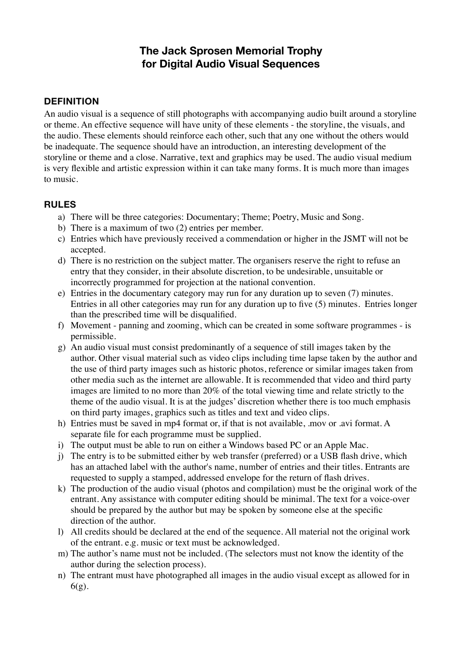# **The Jack Sprosen Memorial Trophy for Digital Audio Visual Sequences**

#### **DEFINITION**

An audio visual is a sequence of still photographs with accompanying audio built around a storyline or theme. An effective sequence will have unity of these elements - the storyline, the visuals, and the audio. These elements should reinforce each other, such that any one without the others would be inadequate. The sequence should have an introduction, an interesting development of the storyline or theme and a close. Narrative, text and graphics may be used. The audio visual medium is very flexible and artistic expression within it can take many forms. It is much more than images to music.

#### **RULES**

- a) There will be three categories: Documentary; Theme; Poetry, Music and Song.
- b) There is a maximum of two (2) entries per member.
- c) Entries which have previously received a commendation or higher in the JSMT will not be accepted.
- d) There is no restriction on the subject matter. The organisers reserve the right to refuse an entry that they consider, in their absolute discretion, to be undesirable, unsuitable or incorrectly programmed for projection at the national convention.
- e) Entries in the documentary category may run for any duration up to seven (7) minutes. Entries in all other categories may run for any duration up to five (5) minutes. Entries longer than the prescribed time will be disqualified.
- f) Movement panning and zooming, which can be created in some software programmes is permissible.
- g) An audio visual must consist predominantly of a sequence of still images taken by the author. Other visual material such as video clips including time lapse taken by the author and the use of third party images such as historic photos, reference or similar images taken from other media such as the internet are allowable. It is recommended that video and third party images are limited to no more than 20% of the total viewing time and relate strictly to the theme of the audio visual. It is at the judges' discretion whether there is too much emphasis on third party images, graphics such as titles and text and video clips.
- h) Entries must be saved in mp4 format or, if that is not available, .mov or .avi format. A separate file for each programme must be supplied.
- i) The output must be able to run on either a Windows based PC or an Apple Mac.
- j) The entry is to be submitted either by web transfer (preferred) or a USB flash drive, which has an attached label with the author's name, number of entries and their titles. Entrants are requested to supply a stamped, addressed envelope for the return of flash drives.
- k) The production of the audio visual (photos and compilation) must be the original work of the entrant. Any assistance with computer editing should be minimal. The text for a voice-over should be prepared by the author but may be spoken by someone else at the specific direction of the author.
- l) All credits should be declared at the end of the sequence. All material not the original work of the entrant. e.g. music or text must be acknowledged.
- m) The author's name must not be included. (The selectors must not know the identity of the author during the selection process).
- n) The entrant must have photographed all images in the audio visual except as allowed for in 6(g).